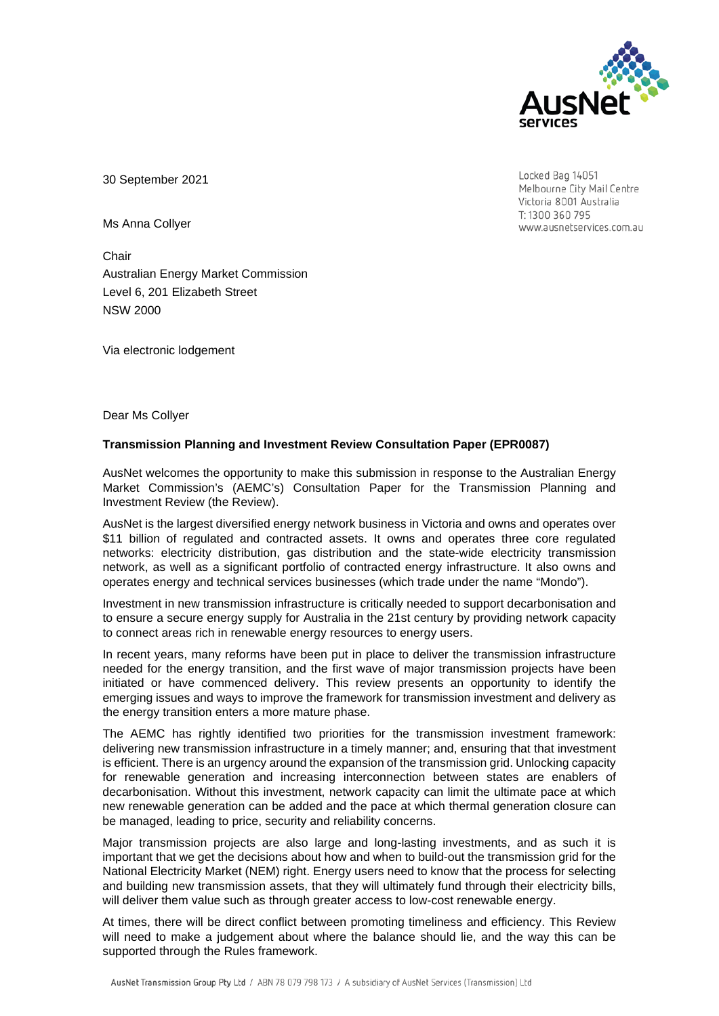

Locked Bag 14051 Melbourne City Mail Centre Victoria 8001 Australia T: 1300 360 795 www.ausnetservices.com.au

30 September 2021

Ms Anna Collyer

**Chair** Australian Energy Market Commission Level 6, 201 Elizabeth Street NSW 2000

Via electronic lodgement

Dear Ms Collyer

#### **Transmission Planning and Investment Review Consultation Paper (EPR0087)**

AusNet welcomes the opportunity to make this submission in response to the Australian Energy Market Commission's (AEMC's) Consultation Paper for the Transmission Planning and Investment Review (the Review).

AusNet is the largest diversified energy network business in Victoria and owns and operates over \$11 billion of regulated and contracted assets. It owns and operates three core regulated networks: electricity distribution, gas distribution and the state-wide electricity transmission network, as well as a significant portfolio of contracted energy infrastructure. It also owns and operates energy and technical services businesses (which trade under the name "Mondo").

Investment in new transmission infrastructure is critically needed to support decarbonisation and to ensure a secure energy supply for Australia in the 21st century by providing network capacity to connect areas rich in renewable energy resources to energy users.

In recent years, many reforms have been put in place to deliver the transmission infrastructure needed for the energy transition, and the first wave of major transmission projects have been initiated or have commenced delivery. This review presents an opportunity to identify the emerging issues and ways to improve the framework for transmission investment and delivery as the energy transition enters a more mature phase.

The AEMC has rightly identified two priorities for the transmission investment framework: delivering new transmission infrastructure in a timely manner; and, ensuring that that investment is efficient. There is an urgency around the expansion of the transmission grid. Unlocking capacity for renewable generation and increasing interconnection between states are enablers of decarbonisation. Without this investment, network capacity can limit the ultimate pace at which new renewable generation can be added and the pace at which thermal generation closure can be managed, leading to price, security and reliability concerns.

Major transmission projects are also large and long-lasting investments, and as such it is important that we get the decisions about how and when to build-out the transmission grid for the National Electricity Market (NEM) right. Energy users need to know that the process for selecting and building new transmission assets, that they will ultimately fund through their electricity bills, will deliver them value such as through greater access to low-cost renewable energy.

At times, there will be direct conflict between promoting timeliness and efficiency. This Review will need to make a judgement about where the balance should lie, and the way this can be supported through the Rules framework.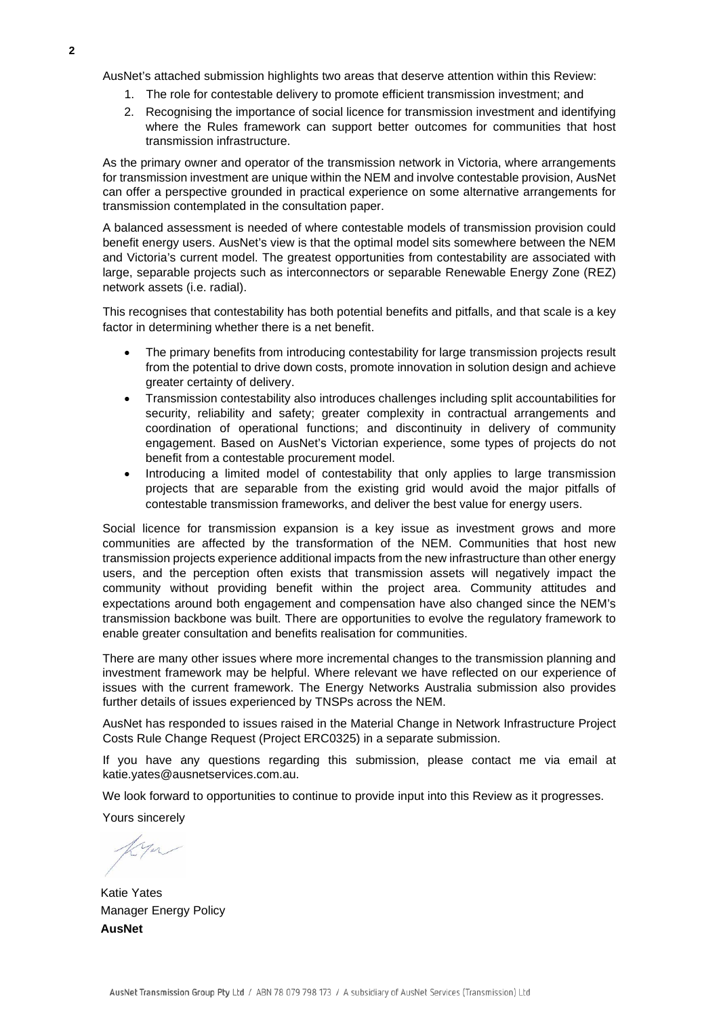AusNet's attached submission highlights two areas that deserve attention within this Review:

- 1. The role for contestable delivery to promote efficient transmission investment; and
- 2. Recognising the importance of social licence for transmission investment and identifying where the Rules framework can support better outcomes for communities that host transmission infrastructure.

As the primary owner and operator of the transmission network in Victoria, where arrangements for transmission investment are unique within the NEM and involve contestable provision, AusNet can offer a perspective grounded in practical experience on some alternative arrangements for transmission contemplated in the consultation paper.

A balanced assessment is needed of where contestable models of transmission provision could benefit energy users. AusNet's view is that the optimal model sits somewhere between the NEM and Victoria's current model. The greatest opportunities from contestability are associated with large, separable projects such as interconnectors or separable Renewable Energy Zone (REZ) network assets (i.e. radial).

This recognises that contestability has both potential benefits and pitfalls, and that scale is a key factor in determining whether there is a net benefit.

- The primary benefits from introducing contestability for large transmission projects result from the potential to drive down costs, promote innovation in solution design and achieve greater certainty of delivery.
- Transmission contestability also introduces challenges including split accountabilities for security, reliability and safety; greater complexity in contractual arrangements and coordination of operational functions; and discontinuity in delivery of community engagement. Based on AusNet's Victorian experience, some types of projects do not benefit from a contestable procurement model.
- Introducing a limited model of contestability that only applies to large transmission projects that are separable from the existing grid would avoid the major pitfalls of contestable transmission frameworks, and deliver the best value for energy users.

Social licence for transmission expansion is a key issue as investment grows and more communities are affected by the transformation of the NEM. Communities that host new transmission projects experience additional impacts from the new infrastructure than other energy users, and the perception often exists that transmission assets will negatively impact the community without providing benefit within the project area. Community attitudes and expectations around both engagement and compensation have also changed since the NEM's transmission backbone was built. There are opportunities to evolve the regulatory framework to enable greater consultation and benefits realisation for communities.

There are many other issues where more incremental changes to the transmission planning and investment framework may be helpful. Where relevant we have reflected on our experience of issues with the current framework. The Energy Networks Australia submission also provides further details of issues experienced by TNSPs across the NEM.

AusNet has responded to issues raised in the Material Change in Network Infrastructure Project Costs Rule Change Request (Project ERC0325) in a separate submission.

If you have any questions regarding this submission, please contact me via email at katie.yates@ausnetservices.com.au.

We look forward to opportunities to continue to provide input into this Review as it progresses.

Yours sincerely

Katie Yates Manager Energy Policy **AusNet**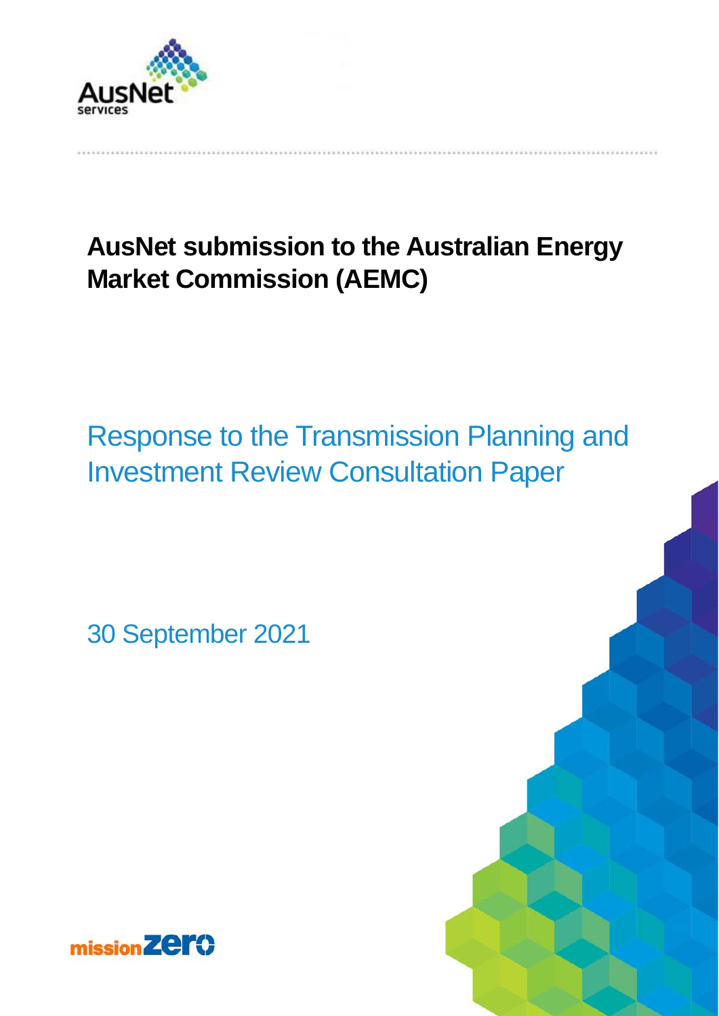

# **AusNet submission to the Australian Energy Market Commission (AEMC)**

# Response to the Transmission Planning and Investment Review Consultation Paper

30 September 2021

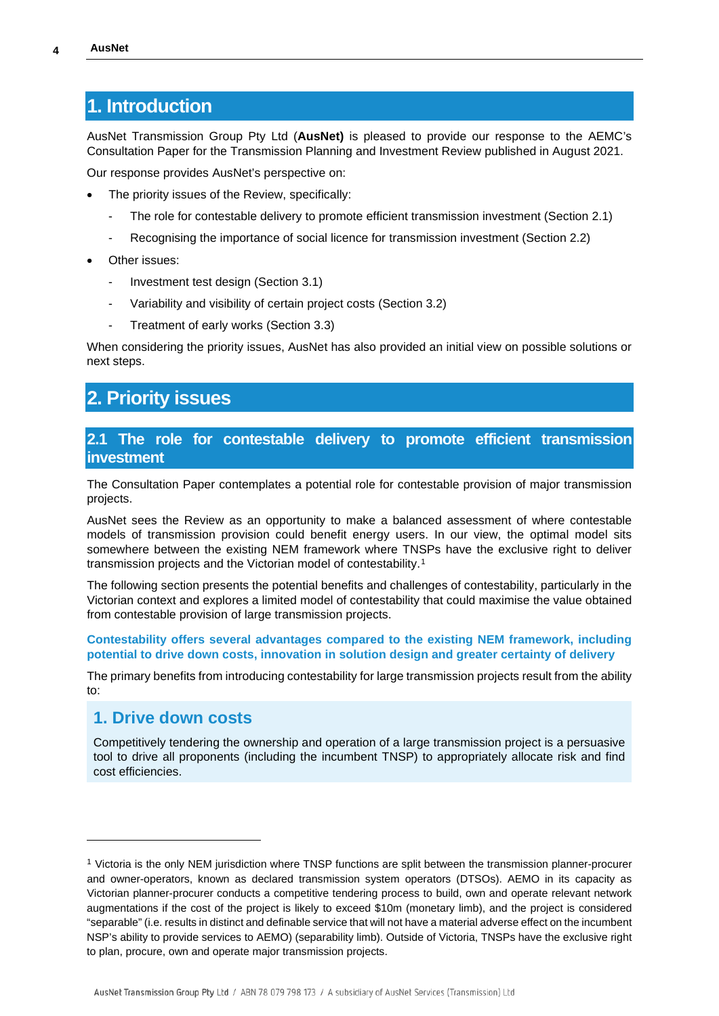## **1. Introduction**

AusNet Transmission Group Pty Ltd (**AusNet)** is pleased to provide our response to the AEMC's Consultation Paper for the Transmission Planning and Investment Review published in August 2021.

Our response provides AusNet's perspective on:

- The priority issues of the Review, specifically:
	- The role for contestable delivery to promote efficient transmission investment (Section 2.1)
	- Recognising the importance of social licence for transmission investment (Section 2.2)
- Other issues:
	- Investment test design (Section 3.1)
	- Variability and visibility of certain project costs (Section 3.2)
	- Treatment of early works (Section 3.3)

When considering the priority issues, AusNet has also provided an initial view on possible solutions or next steps.

## **2. Priority issues**

#### **2.1 The role for contestable delivery to promote efficient transmission investment**

The Consultation Paper contemplates a potential role for contestable provision of major transmission projects.

AusNet sees the Review as an opportunity to make a balanced assessment of where contestable models of transmission provision could benefit energy users. In our view, the optimal model sits somewhere between the existing NEM framework where TNSPs have the exclusive right to deliver transmission projects and the Victorian model of contestability.[1](#page-3-0)

The following section presents the potential benefits and challenges of contestability, particularly in the Victorian context and explores a limited model of contestability that could maximise the value obtained from contestable provision of large transmission projects.

**Contestability offers several advantages compared to the existing NEM framework, including potential to drive down costs, innovation in solution design and greater certainty of delivery**

The primary benefits from introducing contestability for large transmission projects result from the ability to:

### **1. Drive down costs**

Competitively tendering the ownership and operation of a large transmission project is a persuasive tool to drive all proponents (including the incumbent TNSP) to appropriately allocate risk and find cost efficiencies.

<span id="page-3-0"></span><sup>1</sup> Victoria is the only NEM jurisdiction where TNSP functions are split between the transmission planner-procurer and owner-operators, known as declared transmission system operators (DTSOs). AEMO in its capacity as Victorian planner-procurer conducts a competitive tendering process to build, own and operate relevant network augmentations if the cost of the project is likely to exceed \$10m (monetary limb), and the project is considered "separable" (i.e. results in distinct and definable service that will not have a material adverse effect on the incumbent NSP's ability to provide services to AEMO) (separability limb). Outside of Victoria, TNSPs have the exclusive right to plan, procure, own and operate major transmission projects.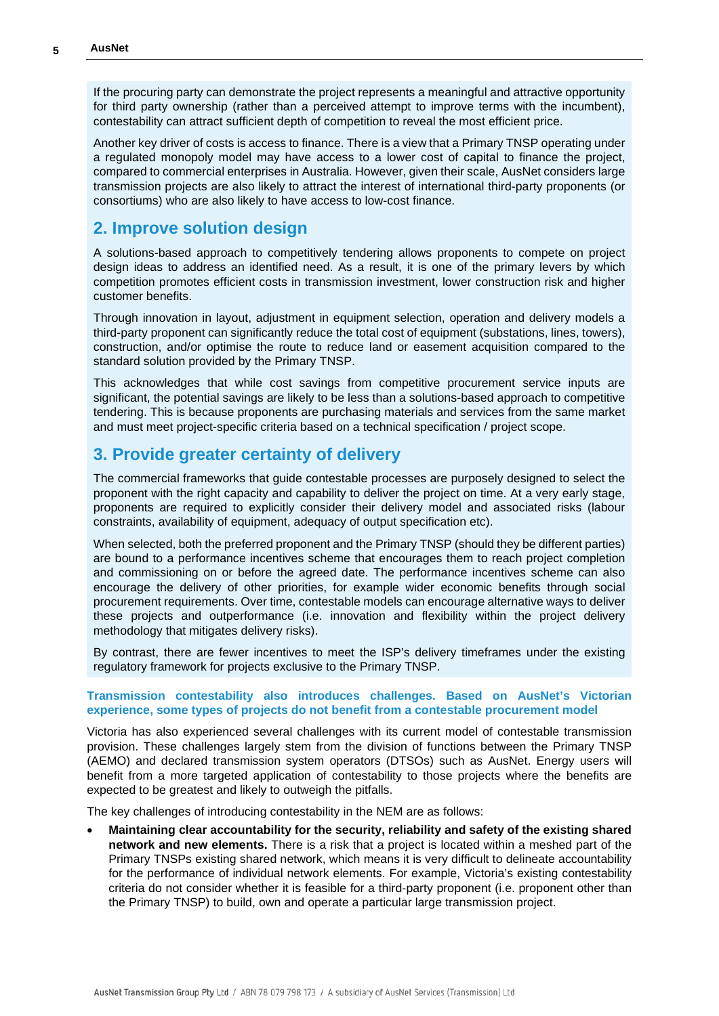If the procuring party can demonstrate the project represents a meaningful and attractive opportunity for third party ownership (rather than a perceived attempt to improve terms with the incumbent), contestability can attract sufficient depth of competition to reveal the most efficient price.

Another key driver of costs is access to finance. There is a view that a Primary TNSP operating under a regulated monopoly model may have access to a lower cost of capital to finance the project, compared to commercial enterprises in Australia. However, given their scale, AusNet considers large transmission projects are also likely to attract the interest of international third-party proponents (or consortiums) who are also likely to have access to low-cost finance.

## **2. Improve solution design**

A solutions-based approach to competitively tendering allows proponents to compete on project design ideas to address an identified need. As a result, it is one of the primary levers by which competition promotes efficient costs in transmission investment, lower construction risk and higher customer benefits.

Through innovation in layout, adjustment in equipment selection, operation and delivery models a third-party proponent can significantly reduce the total cost of equipment (substations, lines, towers), construction, and/or optimise the route to reduce land or easement acquisition compared to the standard solution provided by the Primary TNSP.

This acknowledges that while cost savings from competitive procurement service inputs are significant, the potential savings are likely to be less than a solutions-based approach to competitive tendering. This is because proponents are purchasing materials and services from the same market and must meet project-specific criteria based on a technical specification / project scope.

## **3. Provide greater certainty of delivery**

The commercial frameworks that guide contestable processes are purposely designed to select the proponent with the right capacity and capability to deliver the project on time. At a very early stage, proponents are required to explicitly consider their delivery model and associated risks (labour constraints, availability of equipment, adequacy of output specification etc).

When selected, both the preferred proponent and the Primary TNSP (should they be different parties) are bound to a performance incentives scheme that encourages them to reach project completion and commissioning on or before the agreed date. The performance incentives scheme can also encourage the delivery of other priorities, for example wider economic benefits through social procurement requirements. Over time, contestable models can encourage alternative ways to deliver these projects and outperformance (i.e. innovation and flexibility within the project delivery methodology that mitigates delivery risks).

By contrast, there are fewer incentives to meet the ISP's delivery timeframes under the existing regulatory framework for projects exclusive to the Primary TNSP.

#### **Transmission contestability also introduces challenges. Based on AusNet's Victorian experience, some types of projects do not benefit from a contestable procurement model**

Victoria has also experienced several challenges with its current model of contestable transmission provision. These challenges largely stem from the division of functions between the Primary TNSP (AEMO) and declared transmission system operators (DTSOs) such as AusNet. Energy users will benefit from a more targeted application of contestability to those projects where the benefits are expected to be greatest and likely to outweigh the pitfalls.

The key challenges of introducing contestability in the NEM are as follows:

• **Maintaining clear accountability for the security, reliability and safety of the existing shared network and new elements.** There is a risk that a project is located within a meshed part of the Primary TNSPs existing shared network, which means it is very difficult to delineate accountability for the performance of individual network elements. For example, Victoria's existing contestability criteria do not consider whether it is feasible for a third-party proponent (i.e. proponent other than the Primary TNSP) to build, own and operate a particular large transmission project.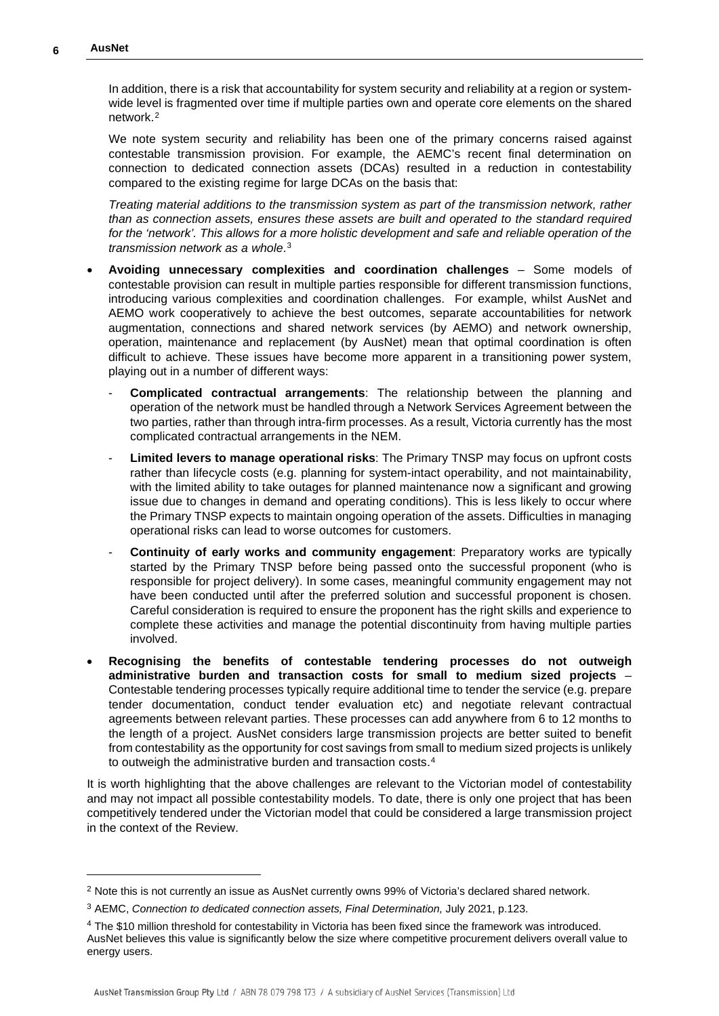In addition, there is a risk that accountability for system security and reliability at a region or systemwide level is fragmented over time if multiple parties own and operate core elements on the shared network.[2](#page-5-0)

We note system security and reliability has been one of the primary concerns raised against contestable transmission provision. For example, the AEMC's recent final determination on connection to dedicated connection assets (DCAs) resulted in a reduction in contestability compared to the existing regime for large DCAs on the basis that:

*Treating material additions to the transmission system as part of the transmission network, rather than as connection assets, ensures these assets are built and operated to the standard required for the 'network'. This allows for a more holistic development and safe and reliable operation of the transmission network as a whole*.[3](#page-5-1)

- **Avoiding unnecessary complexities and coordination challenges** Some models of contestable provision can result in multiple parties responsible for different transmission functions, introducing various complexities and coordination challenges. For example, whilst AusNet and AEMO work cooperatively to achieve the best outcomes, separate accountabilities for network augmentation, connections and shared network services (by AEMO) and network ownership, operation, maintenance and replacement (by AusNet) mean that optimal coordination is often difficult to achieve. These issues have become more apparent in a transitioning power system, playing out in a number of different ways:
	- **Complicated contractual arrangements**: The relationship between the planning and operation of the network must be handled through a Network Services Agreement between the two parties, rather than through intra-firm processes. As a result, Victoria currently has the most complicated contractual arrangements in the NEM.
	- Limited levers to manage operational risks: The Primary TNSP may focus on upfront costs rather than lifecycle costs (e.g. planning for system-intact operability, and not maintainability, with the limited ability to take outages for planned maintenance now a significant and growing issue due to changes in demand and operating conditions). This is less likely to occur where the Primary TNSP expects to maintain ongoing operation of the assets. Difficulties in managing operational risks can lead to worse outcomes for customers.
	- **Continuity of early works and community engagement**: Preparatory works are typically started by the Primary TNSP before being passed onto the successful proponent (who is responsible for project delivery). In some cases, meaningful community engagement may not have been conducted until after the preferred solution and successful proponent is chosen. Careful consideration is required to ensure the proponent has the right skills and experience to complete these activities and manage the potential discontinuity from having multiple parties involved.
- **Recognising the benefits of contestable tendering processes do not outweigh administrative burden and transaction costs for small to medium sized projects** – Contestable tendering processes typically require additional time to tender the service (e.g. prepare tender documentation, conduct tender evaluation etc) and negotiate relevant contractual agreements between relevant parties. These processes can add anywhere from 6 to 12 months to the length of a project. AusNet considers large transmission projects are better suited to benefit from contestability as the opportunity for cost savings from small to medium sized projects is unlikely to outweigh the administrative burden and transaction costs.<sup>[4](#page-5-2)</sup>

It is worth highlighting that the above challenges are relevant to the Victorian model of contestability and may not impact all possible contestability models. To date, there is only one project that has been competitively tendered under the Victorian model that could be considered a large transmission project in the context of the Review.

<span id="page-5-0"></span> $2$  Note this is not currently an issue as AusNet currently owns 99% of Victoria's declared shared network.

<span id="page-5-1"></span><sup>3</sup> AEMC, *Connection to dedicated connection assets, Final Determination,* July 2021, p.123.

<span id="page-5-2"></span><sup>4</sup> The \$10 million threshold for contestability in Victoria has been fixed since the framework was introduced. AusNet believes this value is significantly below the size where competitive procurement delivers overall value to energy users.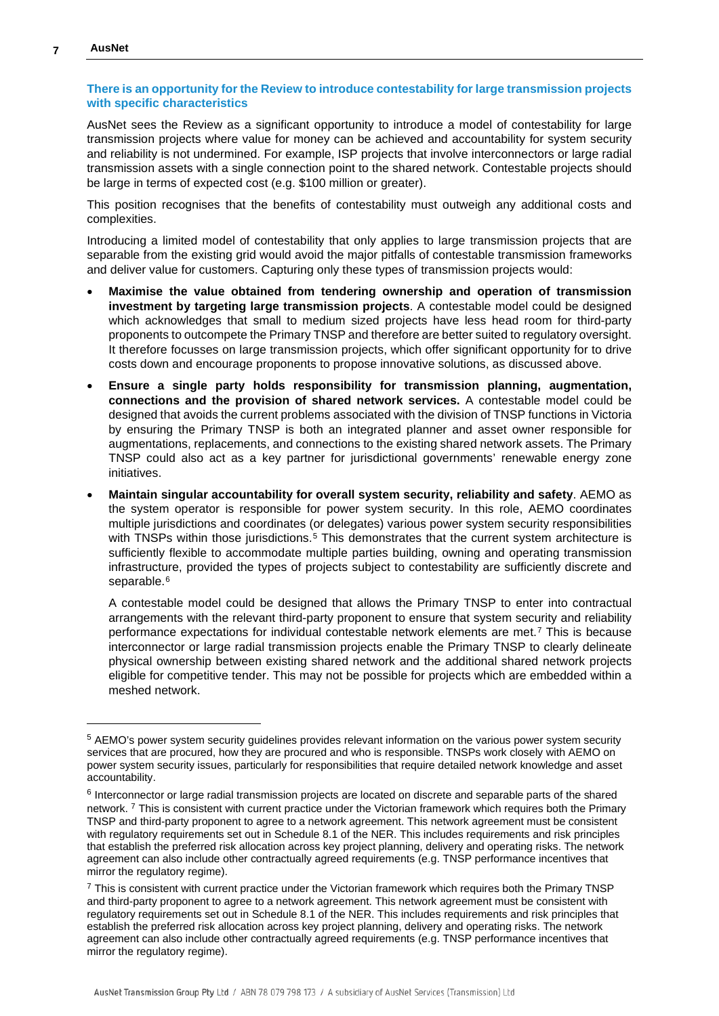#### **There is an opportunity for the Review to introduce contestability for large transmission projects with specific characteristics**

AusNet sees the Review as a significant opportunity to introduce a model of contestability for large transmission projects where value for money can be achieved and accountability for system security and reliability is not undermined. For example, ISP projects that involve interconnectors or large radial transmission assets with a single connection point to the shared network. Contestable projects should be large in terms of expected cost (e.g. \$100 million or greater).

This position recognises that the benefits of contestability must outweigh any additional costs and complexities.

Introducing a limited model of contestability that only applies to large transmission projects that are separable from the existing grid would avoid the major pitfalls of contestable transmission frameworks and deliver value for customers. Capturing only these types of transmission projects would:

- **Maximise the value obtained from tendering ownership and operation of transmission investment by targeting large transmission projects**. A contestable model could be designed which acknowledges that small to medium sized projects have less head room for third-party proponents to outcompete the Primary TNSP and therefore are better suited to regulatory oversight. It therefore focusses on large transmission projects, which offer significant opportunity for to drive costs down and encourage proponents to propose innovative solutions, as discussed above.
- **Ensure a single party holds responsibility for transmission planning, augmentation, connections and the provision of shared network services.** A contestable model could be designed that avoids the current problems associated with the division of TNSP functions in Victoria by ensuring the Primary TNSP is both an integrated planner and asset owner responsible for augmentations, replacements, and connections to the existing shared network assets. The Primary TNSP could also act as a key partner for jurisdictional governments' renewable energy zone initiatives.
- **Maintain singular accountability for overall system security, reliability and safety**. AEMO as the system operator is responsible for power system security. In this role, AEMO coordinates multiple jurisdictions and coordinates (or delegates) various power system security responsibilities with TNSPs within those jurisdictions.<sup>[5](#page-6-0)</sup> This demonstrates that the current system architecture is sufficiently flexible to accommodate multiple parties building, owning and operating transmission infrastructure, provided the types of projects subject to contestability are sufficiently discrete and separable.<sup>[6](#page-6-1)</sup>

A contestable model could be designed that allows the Primary TNSP to enter into contractual arrangements with the relevant third-party proponent to ensure that system security and reliability performance expectations for individual contestable network elements are met.<sup>[7](#page-6-2)</sup> This is because interconnector or large radial transmission projects enable the Primary TNSP to clearly delineate physical ownership between existing shared network and the additional shared network projects eligible for competitive tender. This may not be possible for projects which are embedded within a meshed network.

<sup>5</sup> AEMO's power system security guidelines provides relevant information on the various power system security services that are procured, how they are procured and who is responsible. TNSPs work closely with AEMO on power system security issues, particularly for responsibilities that require detailed network knowledge and asset accountability.

<span id="page-6-0"></span><sup>6</sup> Interconnector or large radial transmission projects are located on discrete and separable parts of the shared network. <sup>7</sup> This is consistent with current practice under the Victorian framework which requires both the Primary TNSP and third-party proponent to agree to a network agreement. This network agreement must be consistent with regulatory requirements set out in Schedule 8.1 of the NER. This includes requirements and risk principles that establish the preferred risk allocation across key project planning, delivery and operating risks. The network agreement can also include other contractually agreed requirements (e.g. TNSP performance incentives that mirror the regulatory regime).

<span id="page-6-2"></span><span id="page-6-1"></span> $<sup>7</sup>$  This is consistent with current practice under the Victorian framework which requires both the Primary TNSP</sup> and third-party proponent to agree to a network agreement. This network agreement must be consistent with regulatory requirements set out in Schedule 8.1 of the NER. This includes requirements and risk principles that establish the preferred risk allocation across key project planning, delivery and operating risks. The network agreement can also include other contractually agreed requirements (e.g. TNSP performance incentives that mirror the regulatory regime).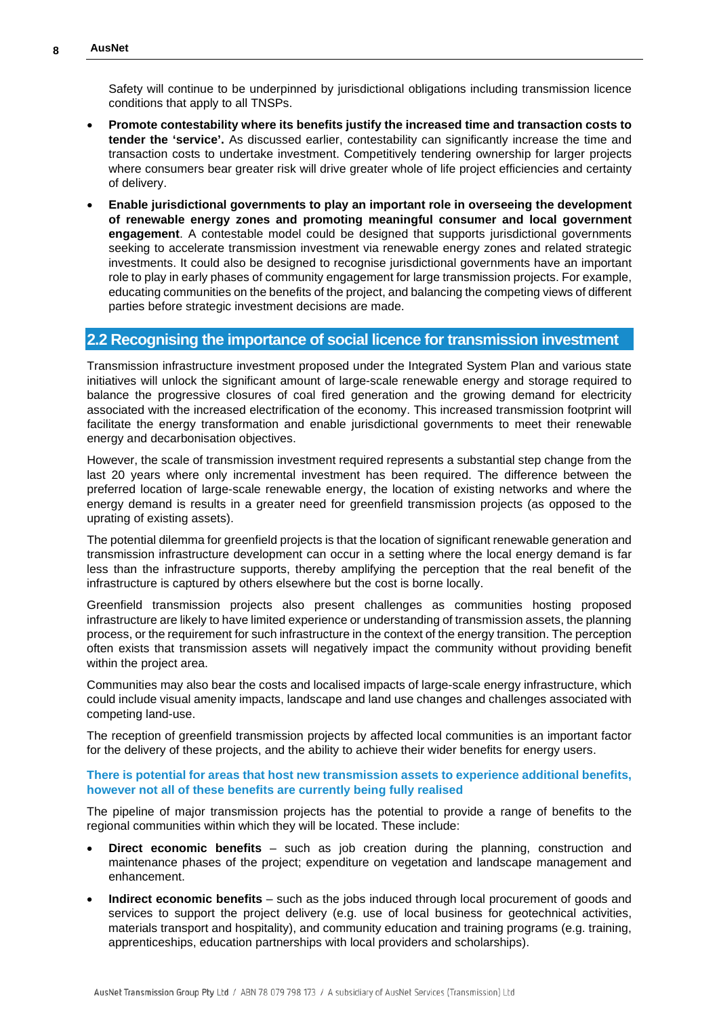Safety will continue to be underpinned by jurisdictional obligations including transmission licence conditions that apply to all TNSPs.

- **Promote contestability where its benefits justify the increased time and transaction costs to tender the 'service'.** As discussed earlier, contestability can significantly increase the time and transaction costs to undertake investment. Competitively tendering ownership for larger projects where consumers bear greater risk will drive greater whole of life project efficiencies and certainty of delivery.
- **Enable jurisdictional governments to play an important role in overseeing the development of renewable energy zones and promoting meaningful consumer and local government engagement**. A contestable model could be designed that supports jurisdictional governments seeking to accelerate transmission investment via renewable energy zones and related strategic investments. It could also be designed to recognise jurisdictional governments have an important role to play in early phases of community engagement for large transmission projects. For example, educating communities on the benefits of the project, and balancing the competing views of different parties before strategic investment decisions are made.

#### **2.2 Recognising the importance of social licence for transmission investment**

Transmission infrastructure investment proposed under the Integrated System Plan and various state initiatives will unlock the significant amount of large-scale renewable energy and storage required to balance the progressive closures of coal fired generation and the growing demand for electricity associated with the increased electrification of the economy. This increased transmission footprint will facilitate the energy transformation and enable jurisdictional governments to meet their renewable energy and decarbonisation objectives.

However, the scale of transmission investment required represents a substantial step change from the last 20 years where only incremental investment has been required. The difference between the preferred location of large-scale renewable energy, the location of existing networks and where the energy demand is results in a greater need for greenfield transmission projects (as opposed to the uprating of existing assets).

The potential dilemma for greenfield projects is that the location of significant renewable generation and transmission infrastructure development can occur in a setting where the local energy demand is far less than the infrastructure supports, thereby amplifying the perception that the real benefit of the infrastructure is captured by others elsewhere but the cost is borne locally.

Greenfield transmission projects also present challenges as communities hosting proposed infrastructure are likely to have limited experience or understanding of transmission assets, the planning process, or the requirement for such infrastructure in the context of the energy transition. The perception often exists that transmission assets will negatively impact the community without providing benefit within the project area.

Communities may also bear the costs and localised impacts of large-scale energy infrastructure, which could include visual amenity impacts, landscape and land use changes and challenges associated with competing land-use.

The reception of greenfield transmission projects by affected local communities is an important factor for the delivery of these projects, and the ability to achieve their wider benefits for energy users.

#### **There is potential for areas that host new transmission assets to experience additional benefits, however not all of these benefits are currently being fully realised**

The pipeline of major transmission projects has the potential to provide a range of benefits to the regional communities within which they will be located. These include:

- **Direct economic benefits** such as job creation during the planning, construction and maintenance phases of the project; expenditure on vegetation and landscape management and enhancement.
- **Indirect economic benefits** such as the jobs induced through local procurement of goods and services to support the project delivery (e.g. use of local business for geotechnical activities, materials transport and hospitality), and community education and training programs (e.g. training, apprenticeships, education partnerships with local providers and scholarships).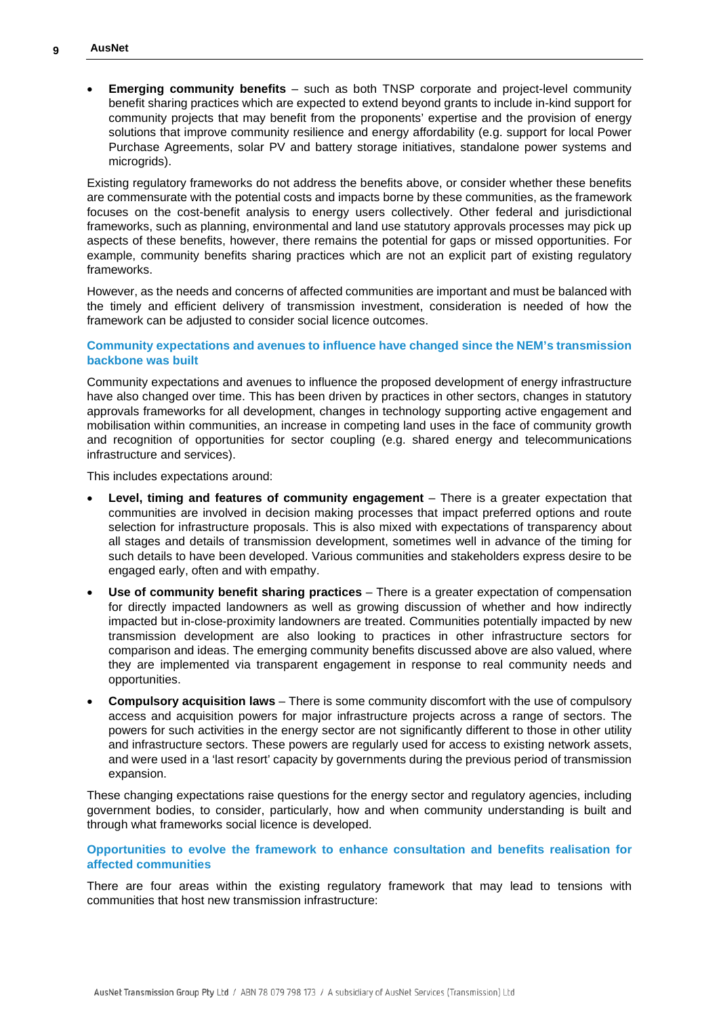• **Emerging community benefits** – such as both TNSP corporate and project-level community benefit sharing practices which are expected to extend beyond grants to include in-kind support for community projects that may benefit from the proponents' expertise and the provision of energy solutions that improve community resilience and energy affordability (e.g. support for local Power Purchase Agreements, solar PV and battery storage initiatives, standalone power systems and microgrids).

Existing regulatory frameworks do not address the benefits above, or consider whether these benefits are commensurate with the potential costs and impacts borne by these communities, as the framework focuses on the cost-benefit analysis to energy users collectively. Other federal and jurisdictional frameworks, such as planning, environmental and land use statutory approvals processes may pick up aspects of these benefits, however, there remains the potential for gaps or missed opportunities. For example, community benefits sharing practices which are not an explicit part of existing regulatory frameworks.

However, as the needs and concerns of affected communities are important and must be balanced with the timely and efficient delivery of transmission investment, consideration is needed of how the framework can be adjusted to consider social licence outcomes.

#### **Community expectations and avenues to influence have changed since the NEM's transmission backbone was built**

Community expectations and avenues to influence the proposed development of energy infrastructure have also changed over time. This has been driven by practices in other sectors, changes in statutory approvals frameworks for all development, changes in technology supporting active engagement and mobilisation within communities, an increase in competing land uses in the face of community growth and recognition of opportunities for sector coupling (e.g. shared energy and telecommunications infrastructure and services).

This includes expectations around:

- **Level, timing and features of community engagement** There is a greater expectation that communities are involved in decision making processes that impact preferred options and route selection for infrastructure proposals. This is also mixed with expectations of transparency about all stages and details of transmission development, sometimes well in advance of the timing for such details to have been developed. Various communities and stakeholders express desire to be engaged early, often and with empathy.
- **Use of community benefit sharing practices** There is a greater expectation of compensation for directly impacted landowners as well as growing discussion of whether and how indirectly impacted but in-close-proximity landowners are treated. Communities potentially impacted by new transmission development are also looking to practices in other infrastructure sectors for comparison and ideas. The emerging community benefits discussed above are also valued, where they are implemented via transparent engagement in response to real community needs and opportunities.
- **Compulsory acquisition laws** There is some community discomfort with the use of compulsory access and acquisition powers for major infrastructure projects across a range of sectors. The powers for such activities in the energy sector are not significantly different to those in other utility and infrastructure sectors. These powers are regularly used for access to existing network assets, and were used in a 'last resort' capacity by governments during the previous period of transmission expansion.

These changing expectations raise questions for the energy sector and regulatory agencies, including government bodies, to consider, particularly, how and when community understanding is built and through what frameworks social licence is developed.

#### **Opportunities to evolve the framework to enhance consultation and benefits realisation for affected communities**

There are four areas within the existing regulatory framework that may lead to tensions with communities that host new transmission infrastructure: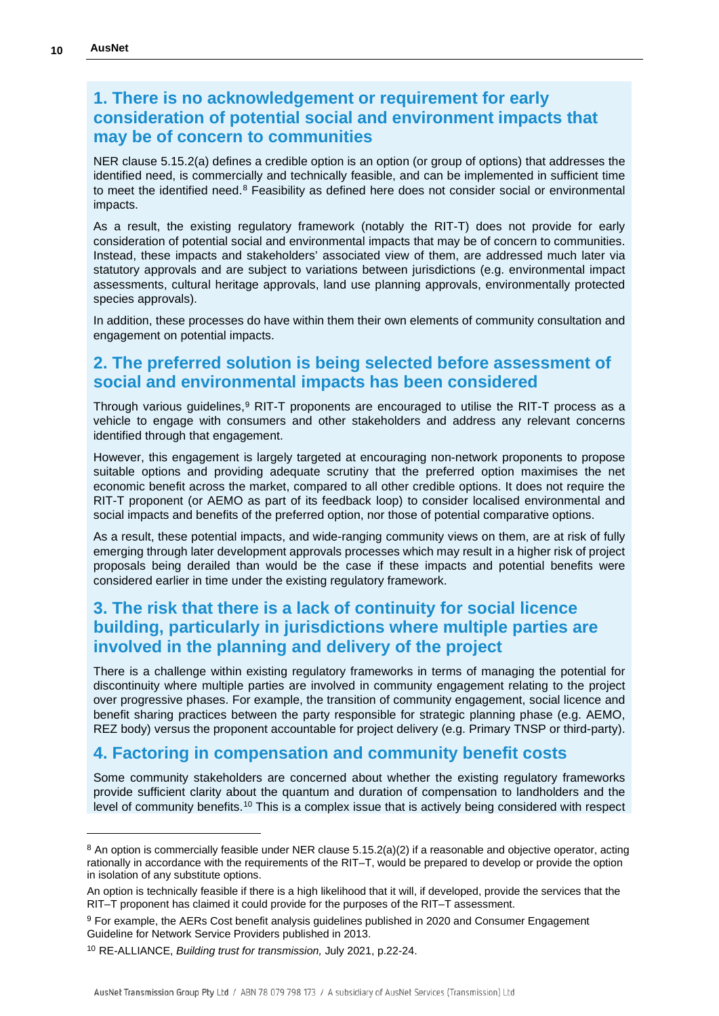## **1. There is no acknowledgement or requirement for early consideration of potential social and environment impacts that may be of concern to communities**

NER clause 5.15.2(a) defines a credible option is an option (or group of options) that addresses the identified need, is commercially and technically feasible, and can be implemented in sufficient time to meet the identified need.<sup>[8](#page-9-0)</sup> Feasibility as defined here does not consider social or environmental impacts.

As a result, the existing regulatory framework (notably the RIT-T) does not provide for early consideration of potential social and environmental impacts that may be of concern to communities. Instead, these impacts and stakeholders' associated view of them, are addressed much later via statutory approvals and are subject to variations between jurisdictions (e.g. environmental impact assessments, cultural heritage approvals, land use planning approvals, environmentally protected species approvals).

In addition, these processes do have within them their own elements of community consultation and engagement on potential impacts.

## **2. The preferred solution is being selected before assessment of social and environmental impacts has been considered**

Through various quidelines, $9$  RIT-T proponents are encouraged to utilise the RIT-T process as a vehicle to engage with consumers and other stakeholders and address any relevant concerns identified through that engagement.

However, this engagement is largely targeted at encouraging non-network proponents to propose suitable options and providing adequate scrutiny that the preferred option maximises the net economic benefit across the market, compared to all other credible options. It does not require the RIT-T proponent (or AEMO as part of its feedback loop) to consider localised environmental and social impacts and benefits of the preferred option, nor those of potential comparative options.

As a result, these potential impacts, and wide-ranging community views on them, are at risk of fully emerging through later development approvals processes which may result in a higher risk of project proposals being derailed than would be the case if these impacts and potential benefits were considered earlier in time under the existing regulatory framework.

## **3. The risk that there is a lack of continuity for social licence building, particularly in jurisdictions where multiple parties are involved in the planning and delivery of the project**

There is a challenge within existing regulatory frameworks in terms of managing the potential for discontinuity where multiple parties are involved in community engagement relating to the project over progressive phases. For example, the transition of community engagement, social licence and benefit sharing practices between the party responsible for strategic planning phase (e.g. AEMO, REZ body) versus the proponent accountable for project delivery (e.g. Primary TNSP or third-party).

## **4. Factoring in compensation and community benefit costs**

Some community stakeholders are concerned about whether the existing regulatory frameworks provide sufficient clarity about the quantum and duration of compensation to landholders and the level of community benefits.[10](#page-9-2) This is a complex issue that is actively being considered with respect

<span id="page-9-0"></span><sup>8</sup> An option is commercially feasible under NER clause 5.15.2(a)(2) if a reasonable and objective operator, acting rationally in accordance with the requirements of the RIT–T, would be prepared to develop or provide the option in isolation of any substitute options.

An option is technically feasible if there is a high likelihood that it will, if developed, provide the services that the RIT–T proponent has claimed it could provide for the purposes of the RIT–T assessment.

<span id="page-9-1"></span><sup>9</sup> For example, the AERs Cost benefit analysis guidelines published in 2020 and Consumer Engagement Guideline for Network Service Providers published in 2013.

<span id="page-9-2"></span><sup>10</sup> RE-ALLIANCE, *Building trust for transmission,* July 2021, p.22-24.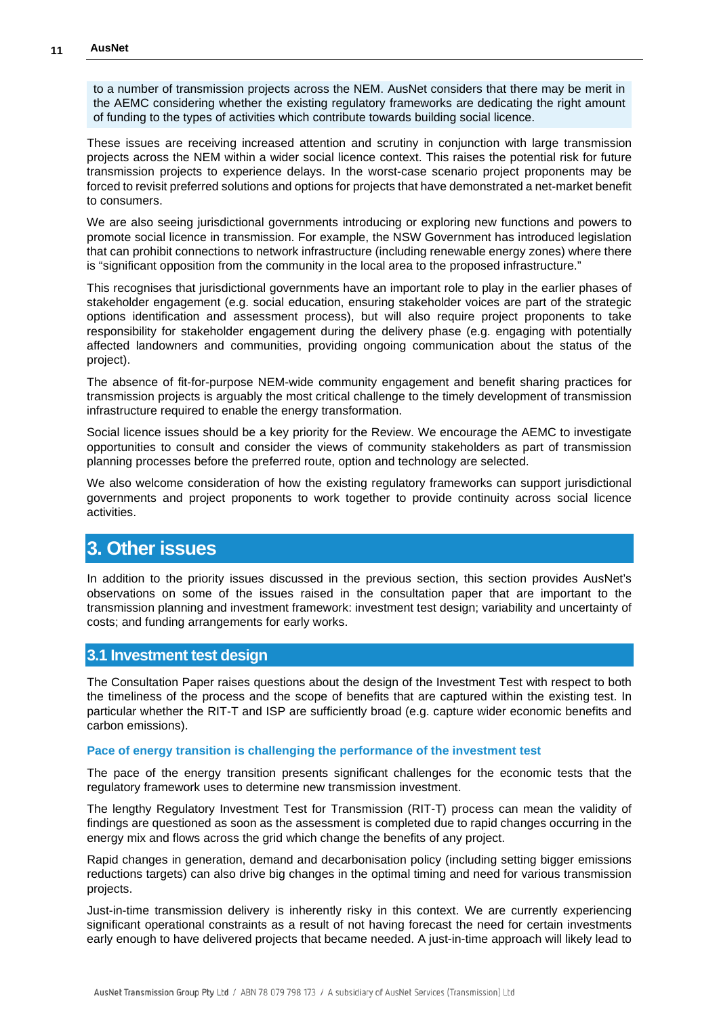to a number of transmission projects across the NEM. AusNet considers that there may be merit in the AEMC considering whether the existing regulatory frameworks are dedicating the right amount of funding to the types of activities which contribute towards building social licence.

These issues are receiving increased attention and scrutiny in conjunction with large transmission projects across the NEM within a wider social licence context. This raises the potential risk for future transmission projects to experience delays. In the worst-case scenario project proponents may be forced to revisit preferred solutions and options for projects that have demonstrated a net-market benefit to consumers.

We are also seeing jurisdictional governments introducing or exploring new functions and powers to promote social licence in transmission. For example, the NSW Government has introduced legislation that can prohibit connections to network infrastructure (including renewable energy zones) where there is "significant opposition from the community in the local area to the proposed infrastructure."

This recognises that jurisdictional governments have an important role to play in the earlier phases of stakeholder engagement (e.g. social education, ensuring stakeholder voices are part of the strategic options identification and assessment process), but will also require project proponents to take responsibility for stakeholder engagement during the delivery phase (e.g. engaging with potentially affected landowners and communities, providing ongoing communication about the status of the project).

The absence of fit-for-purpose NEM-wide community engagement and benefit sharing practices for transmission projects is arguably the most critical challenge to the timely development of transmission infrastructure required to enable the energy transformation.

Social licence issues should be a key priority for the Review. We encourage the AEMC to investigate opportunities to consult and consider the views of community stakeholders as part of transmission planning processes before the preferred route, option and technology are selected.

We also welcome consideration of how the existing regulatory frameworks can support jurisdictional governments and project proponents to work together to provide continuity across social licence activities.

## **3. Other issues**

In addition to the priority issues discussed in the previous section, this section provides AusNet's observations on some of the issues raised in the consultation paper that are important to the transmission planning and investment framework: investment test design; variability and uncertainty of costs; and funding arrangements for early works.

#### **3.1 Investment test design**

The Consultation Paper raises questions about the design of the Investment Test with respect to both the timeliness of the process and the scope of benefits that are captured within the existing test. In particular whether the RIT-T and ISP are sufficiently broad (e.g. capture wider economic benefits and carbon emissions).

#### **Pace of energy transition is challenging the performance of the investment test**

The pace of the energy transition presents significant challenges for the economic tests that the regulatory framework uses to determine new transmission investment.

The lengthy Regulatory Investment Test for Transmission (RIT-T) process can mean the validity of findings are questioned as soon as the assessment is completed due to rapid changes occurring in the energy mix and flows across the grid which change the benefits of any project.

Rapid changes in generation, demand and decarbonisation policy (including setting bigger emissions reductions targets) can also drive big changes in the optimal timing and need for various transmission projects.

Just-in-time transmission delivery is inherently risky in this context. We are currently experiencing significant operational constraints as a result of not having forecast the need for certain investments early enough to have delivered projects that became needed. A just-in-time approach will likely lead to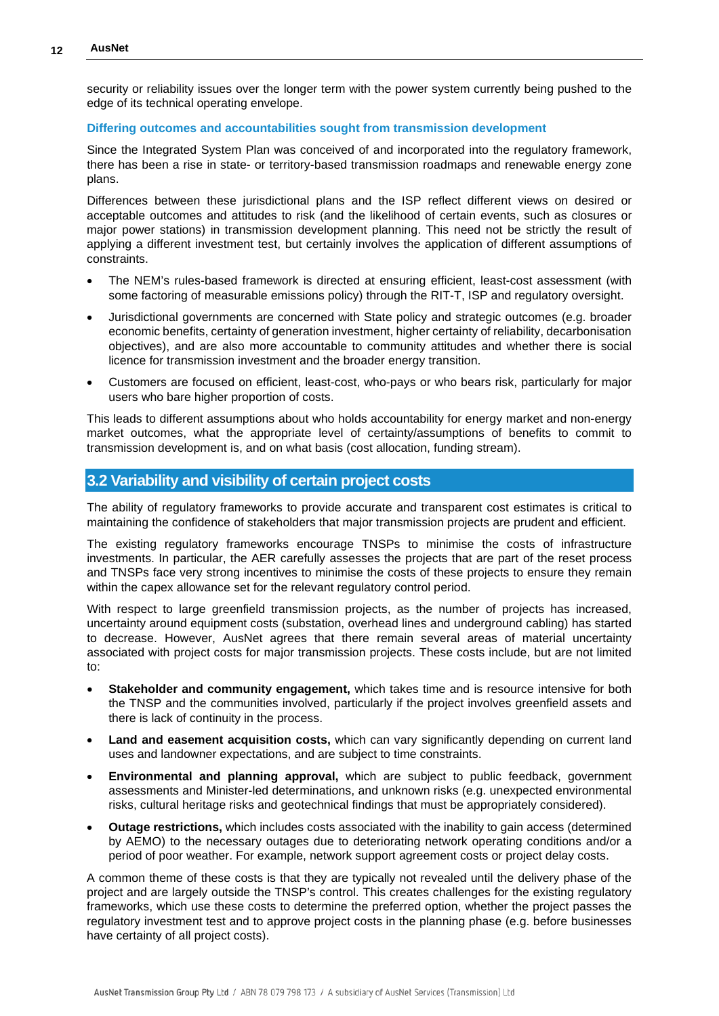security or reliability issues over the longer term with the power system currently being pushed to the edge of its technical operating envelope.

#### **Differing outcomes and accountabilities sought from transmission development**

Since the Integrated System Plan was conceived of and incorporated into the regulatory framework, there has been a rise in state- or territory-based transmission roadmaps and renewable energy zone plans.

Differences between these jurisdictional plans and the ISP reflect different views on desired or acceptable outcomes and attitudes to risk (and the likelihood of certain events, such as closures or major power stations) in transmission development planning. This need not be strictly the result of applying a different investment test, but certainly involves the application of different assumptions of constraints.

- The NEM's rules-based framework is directed at ensuring efficient, least-cost assessment (with some factoring of measurable emissions policy) through the RIT-T, ISP and regulatory oversight.
- Jurisdictional governments are concerned with State policy and strategic outcomes (e.g. broader economic benefits, certainty of generation investment, higher certainty of reliability, decarbonisation objectives), and are also more accountable to community attitudes and whether there is social licence for transmission investment and the broader energy transition.
- Customers are focused on efficient, least-cost, who-pays or who bears risk, particularly for major users who bare higher proportion of costs.

This leads to different assumptions about who holds accountability for energy market and non-energy market outcomes, what the appropriate level of certainty/assumptions of benefits to commit to transmission development is, and on what basis (cost allocation, funding stream).

#### **3.2 Variability and visibility of certain project costs**

The ability of regulatory frameworks to provide accurate and transparent cost estimates is critical to maintaining the confidence of stakeholders that major transmission projects are prudent and efficient.

The existing regulatory frameworks encourage TNSPs to minimise the costs of infrastructure investments. In particular, the AER carefully assesses the projects that are part of the reset process and TNSPs face very strong incentives to minimise the costs of these projects to ensure they remain within the capex allowance set for the relevant regulatory control period.

With respect to large greenfield transmission projects, as the number of projects has increased, uncertainty around equipment costs (substation, overhead lines and underground cabling) has started to decrease. However, AusNet agrees that there remain several areas of material uncertainty associated with project costs for major transmission projects. These costs include, but are not limited to:

- **Stakeholder and community engagement,** which takes time and is resource intensive for both the TNSP and the communities involved, particularly if the project involves greenfield assets and there is lack of continuity in the process.
- **Land and easement acquisition costs,** which can vary significantly depending on current land uses and landowner expectations, and are subject to time constraints.
- **Environmental and planning approval,** which are subject to public feedback, government assessments and Minister-led determinations, and unknown risks (e.g. unexpected environmental risks, cultural heritage risks and geotechnical findings that must be appropriately considered).
- **Outage restrictions,** which includes costs associated with the inability to gain access (determined by AEMO) to the necessary outages due to deteriorating network operating conditions and/or a period of poor weather. For example, network support agreement costs or project delay costs.

A common theme of these costs is that they are typically not revealed until the delivery phase of the project and are largely outside the TNSP's control. This creates challenges for the existing regulatory frameworks, which use these costs to determine the preferred option, whether the project passes the regulatory investment test and to approve project costs in the planning phase (e.g. before businesses have certainty of all project costs).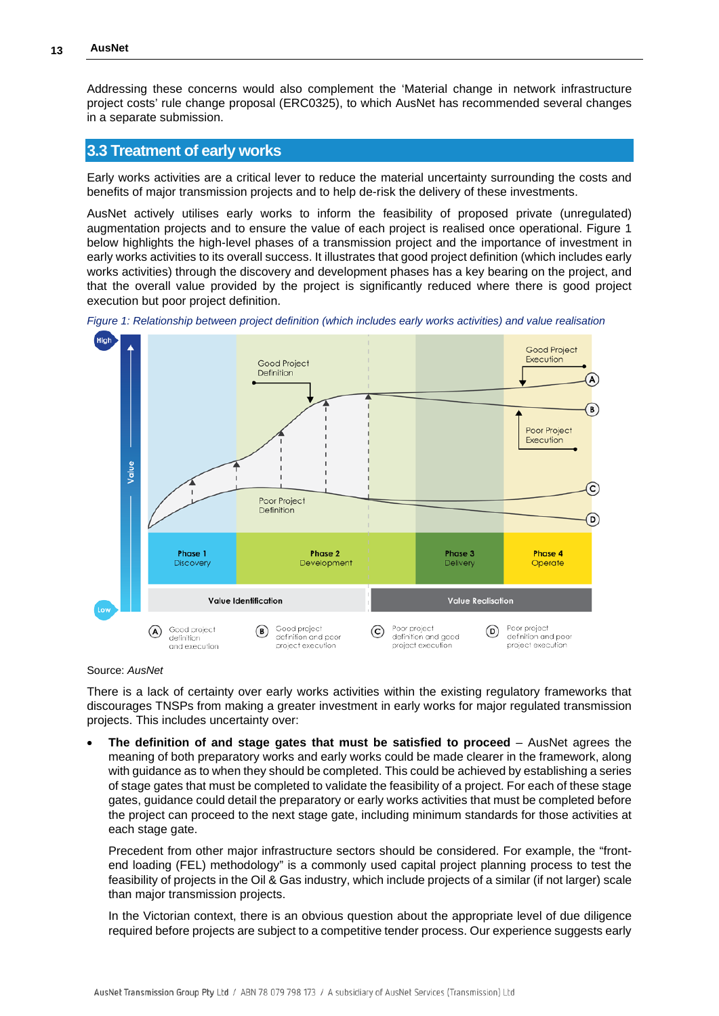Addressing these concerns would also complement the 'Material change in network infrastructure project costs' rule change proposal (ERC0325), to which AusNet has recommended several changes in a separate submission.

### **3.3 Treatment of early works**

Early works activities are a critical lever to reduce the material uncertainty surrounding the costs and benefits of major transmission projects and to help de-risk the delivery of these investments.

AusNet actively utilises early works to inform the feasibility of proposed private (unregulated) augmentation projects and to ensure the value of each project is realised once operational. Figure 1 below highlights the high-level phases of a transmission project and the importance of investment in early works activities to its overall success. It illustrates that good project definition (which includes early works activities) through the discovery and development phases has a key bearing on the project, and that the overall value provided by the project is significantly reduced where there is good project execution but poor project definition.





#### Source: *AusNet*

There is a lack of certainty over early works activities within the existing regulatory frameworks that discourages TNSPs from making a greater investment in early works for major regulated transmission projects. This includes uncertainty over:

• **The definition of and stage gates that must be satisfied to proceed** – AusNet agrees the meaning of both preparatory works and early works could be made clearer in the framework, along with guidance as to when they should be completed. This could be achieved by establishing a series of stage gates that must be completed to validate the feasibility of a project. For each of these stage gates, guidance could detail the preparatory or early works activities that must be completed before the project can proceed to the next stage gate, including minimum standards for those activities at each stage gate.

Precedent from other major infrastructure sectors should be considered. For example, the "frontend loading (FEL) methodology" is a commonly used capital project planning process to test the feasibility of projects in the Oil & Gas industry, which include projects of a similar (if not larger) scale than major transmission projects.

In the Victorian context, there is an obvious question about the appropriate level of due diligence required before projects are subject to a competitive tender process. Our experience suggests early